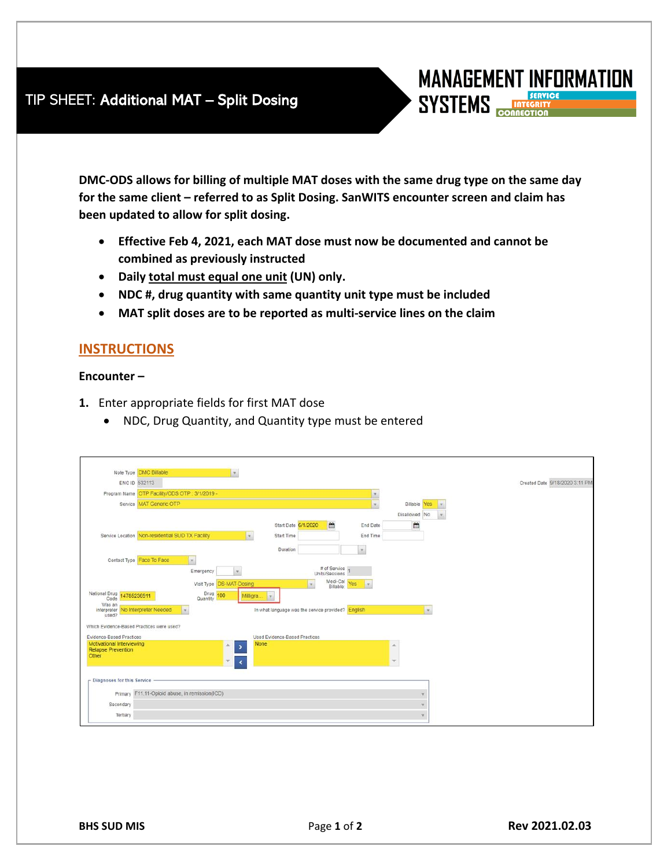## TIP SHEET: Additional MAT – Split Dosing

**DMC-ODS allows for billing of multiple MAT doses with the same drug type on the same day for the same client – referred to as Split Dosing. SanWITS encounter screen and claim has been updated to allow for split dosing.**

- **Effective Feb 4, 2021, each MAT dose must now be documented and cannot be combined as previously instructed**
- **Daily total must equal one unit (UN) only.**
- **NDC #, drug quantity with same quantity unit type must be included**
- **MAT split doses are to be reported as multi-service lines on the claim**

## **INSTRUCTIONS**

## **Encounter –**

- **1.** Enter appropriate fields for first MAT dose
	- NDC, Drug Quantity, and Quantity type must be entered

|                                                                 | Note Type DMC Billable<br>$\mathcal{R}$                                                    |                                |
|-----------------------------------------------------------------|--------------------------------------------------------------------------------------------|--------------------------------|
|                                                                 | ENC ID 532113                                                                              | Created Date 9/18/2020 3:11 PM |
|                                                                 | Program Name OTP Facility/ODS OTP: 3/1/2019 -                                              |                                |
|                                                                 | Service MAT Generic OTP<br>Billable<br>Yes                                                 |                                |
|                                                                 | Disallowed No.                                                                             |                                |
|                                                                 | m<br>曲<br>Start Date 6/1/2020<br>End Date                                                  |                                |
|                                                                 | Service Location Non-residential SUD TX Facility<br>End Time<br>Start Time<br>$\mathbf{v}$ |                                |
|                                                                 |                                                                                            |                                |
|                                                                 | Duration<br>×                                                                              |                                |
|                                                                 | Contact Type Face To Face<br>$\left\vert \mathbf{v}\right\vert$<br># of Service            |                                |
|                                                                 | Emergency<br>Units/Sessions                                                                |                                |
|                                                                 | Medi-Cal<br>Billable: Yes<br>Visit Type DS-MAT-Dosing<br>$\sim$<br>v.                      |                                |
| National Drug 14785236911<br>Code                               | Drug 100<br>Milligra.<br>$\mathcal{L}$<br>Quantity                                         |                                |
| Was an<br>interpreter No Interpreter Needed<br>used?            | lor:<br>In what language was the service provided? English<br><b>V</b>                     |                                |
| Which Evidence-Based Practices were used?                       |                                                                                            |                                |
| Evidence-Based Practices                                        | Used Evidence-Based Practices                                                              |                                |
| Motivational Interviewing<br><b>Relapse Prevention</b><br>Other | <b>None</b><br>$\overline{ }$                                                              |                                |
|                                                                 |                                                                                            |                                |
| - Diagnoses for this Service                                    |                                                                                            |                                |
|                                                                 |                                                                                            |                                |
|                                                                 | Primary F11.11-Opioid abuse, in remission(ICD)                                             |                                |
| Secondary                                                       |                                                                                            |                                |
| Tertiary                                                        | ÷                                                                                          |                                |

**MANAGEMENT INFORMATION** 

**SYSTEMS**